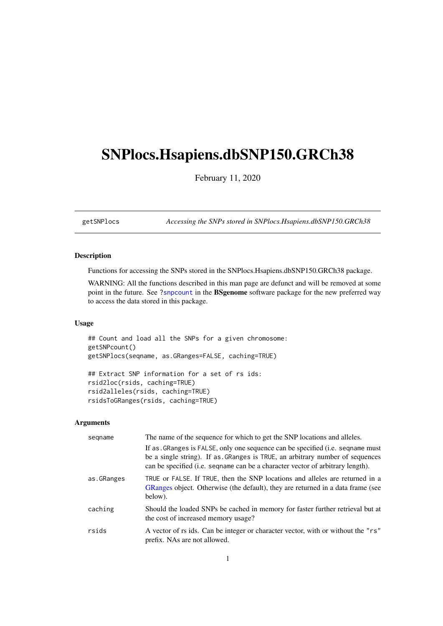# <span id="page-0-1"></span><span id="page-0-0"></span>SNPlocs.Hsapiens.dbSNP150.GRCh38

February 11, 2020

getSNPlocs *Accessing the SNPs stored in SNPlocs.Hsapiens.dbSNP150.GRCh38*

# Description

Functions for accessing the SNPs stored in the SNPlocs.Hsapiens.dbSNP150.GRCh38 package.

WARNING: All the functions described in this man page are defunct and will be removed at some point in the future. See ?snpcount in the BSgenome software package for the new preferred way to access the data stored in this package.

# Usage

```
## Count and load all the SNPs for a given chromosome:
getSNPcount()
getSNPlocs(seqname, as.GRanges=FALSE, caching=TRUE)
## Extract SNP information for a set of rs ids:
rsid2loc(rsids, caching=TRUE)
rsid2alleles(rsids, caching=TRUE)
rsidsToGRanges(rsids, caching=TRUE)
```
# Arguments

| segname    | The name of the sequence for which to get the SNP locations and alleles.                                                                                                                                                                        |
|------------|-------------------------------------------------------------------------------------------------------------------------------------------------------------------------------------------------------------------------------------------------|
|            | If as GRanges is FALSE, only one sequence can be specified (i.e. sequame must<br>be a single string). If as GRanges is TRUE, an arbitrary number of sequences<br>can be specified (i.e. sequame can be a character vector of arbitrary length). |
| as.GRanges | TRUE or FALSE. If TRUE, then the SNP locations and alleles are returned in a<br>GRanges object. Otherwise (the default), they are returned in a data frame (see<br>below).                                                                      |
| caching    | Should the loaded SNPs be cached in memory for faster further retrieval but at<br>the cost of increased memory usage?                                                                                                                           |
| rsids      | A vector of rs ids. Can be integer or character vector, with or without the "rs"<br>prefix. NAs are not allowed.                                                                                                                                |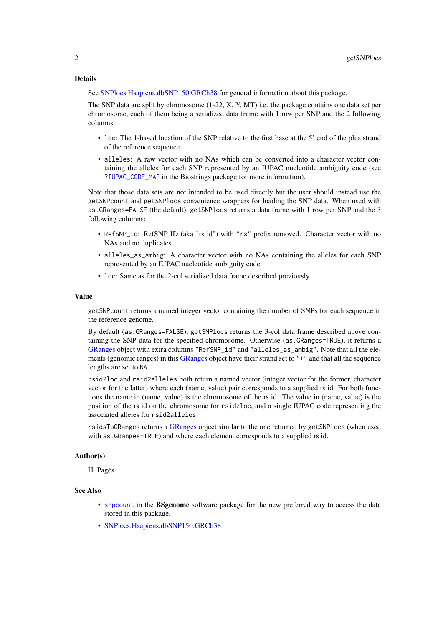#### <span id="page-1-0"></span>Details

See [SNPlocs.Hsapiens.dbSNP150.GRCh38](#page-2-0) for general information about this package.

The SNP data are split by chromosome (1-22, X, Y, MT) i.e. the package contains one data set per chromosome, each of them being a serialized data frame with 1 row per SNP and the 2 following columns:

- loc: The 1-based location of the SNP relative to the first base at the 5' end of the plus strand of the reference sequence.
- alleles: A raw vector with no NAs which can be converted into a character vector containing the alleles for each SNP represented by an IUPAC nucleotide ambiguity code (see [?IUPAC\\_CODE\\_MAP](#page-0-0) in the Biostrings package for more information).

Note that those data sets are not intended to be used directly but the user should instead use the getSNPcount and getSNPlocs convenience wrappers for loading the SNP data. When used with as.GRanges=FALSE (the default), getSNPlocs returns a data frame with 1 row per SNP and the 3 following columns:

- RefSNP\_id: RefSNP ID (aka "rs id") with "rs" prefix removed. Character vector with no NAs and no duplicates.
- alleles\_as\_ambig: A character vector with no NAs containing the alleles for each SNP represented by an IUPAC nucleotide ambiguity code.
- loc: Same as for the 2-col serialized data frame described previously.

## Value

getSNPcount returns a named integer vector containing the number of SNPs for each sequence in the reference genome.

By default (as.GRanges=FALSE), getSNPlocs returns the 3-col data frame described above containing the SNP data for the specified chromosome. Otherwise (as.GRanges=TRUE), it returns a [GRanges](#page-0-0) object with extra columns "RefSNP\_id" and "alleles\_as\_ambig". Note that all the ele-ments (genomic ranges) in this [GRanges](#page-0-0) object have their strand set to "+" and that all the sequence lengths are set to NA.

rsid2loc and rsid2alleles both return a named vector (integer vector for the former, character vector for the latter) where each (name, value) pair corresponds to a supplied rs id. For both functions the name in (name, value) is the chromosome of the rs id. The value in (name, value) is the position of the rs id on the chromosome for rsid2loc, and a single IUPAC code representing the associated alleles for rsid2alleles.

rsidsToGRanges returns a [GRanges](#page-0-0) object similar to the one returned by getSNPlocs (when used with as.GRanges=TRUE) and where each element corresponds to a supplied rs id.

#### Author(s)

H. Pagès

#### See Also

- [snpcount](#page-0-0) in the **BSgenome** software package for the new preferred way to access the data stored in this package.
- [SNPlocs.Hsapiens.dbSNP150.GRCh38](#page-2-0)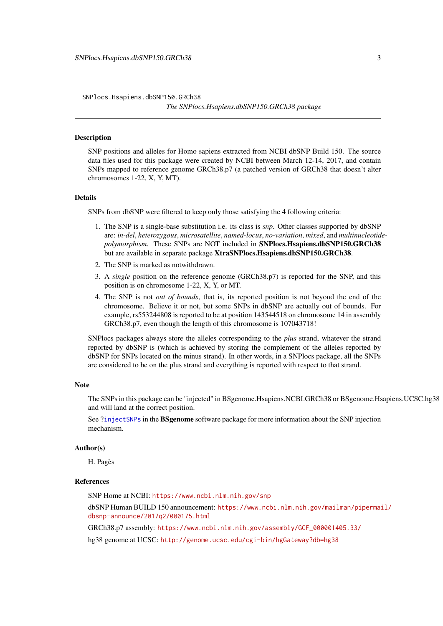<span id="page-2-1"></span><span id="page-2-0"></span>SNPlocs.Hsapiens.dbSNP150.GRCh38

*The SNPlocs.Hsapiens.dbSNP150.GRCh38 package*

#### Description

SNP positions and alleles for Homo sapiens extracted from NCBI dbSNP Build 150. The source data files used for this package were created by NCBI between March 12-14, 2017, and contain SNPs mapped to reference genome GRCh38.p7 (a patched version of GRCh38 that doesn't alter chromosomes 1-22, X, Y, MT).

#### Details

SNPs from dbSNP were filtered to keep only those satisfying the 4 following criteria:

- 1. The SNP is a single-base substitution i.e. its class is *snp*. Other classes supported by dbSNP are: *in-del*, *heterozygous*, *microsatellite*, *named-locus*, *no-variation*, *mixed*, and *multinucleotidepolymorphism*. These SNPs are NOT included in SNPlocs.Hsapiens.dbSNP150.GRCh38 but are available in separate package XtraSNPlocs.Hsapiens.dbSNP150.GRCh38.
- 2. The SNP is marked as notwithdrawn.
- 3. A *single* position on the reference genome (GRCh38.p7) is reported for the SNP, and this position is on chromosome 1-22, X, Y, or MT.
- 4. The SNP is not *out of bounds*, that is, its reported position is not beyond the end of the chromosome. Believe it or not, but some SNPs in dbSNP are actually out of bounds. For example, rs553244808 is reported to be at position 143544518 on chromosome 14 in assembly GRCh38.p7, even though the length of this chromosome is 107043718!

SNPlocs packages always store the alleles corresponding to the *plus* strand, whatever the strand reported by dbSNP is (which is achieved by storing the complement of the alleles reported by dbSNP for SNPs located on the minus strand). In other words, in a SNPlocs package, all the SNPs are considered to be on the plus strand and everything is reported with respect to that strand.

#### Note

The SNPs in this package can be "injected" in BSgenome.Hsapiens.NCBI.GRCh38 or BSgenome.Hsapiens.UCSC.hg38 and will land at the correct position.

See [?injectSNPs](#page-0-0) in the BSgenome software package for more information about the SNP injection mechanism.

#### Author(s)

H. Pagès

#### References

SNP Home at NCBI: <https://www.ncbi.nlm.nih.gov/snp>

dbSNP Human BUILD 150 announcement: [https://www.ncbi.nlm.nih.gov/mailman/pipermai](https://www.ncbi.nlm.nih.gov/mailman/pipermail/dbsnp-announce/2017q2/000175.html)l/ [dbsnp-announce/2017q2/000175.html](https://www.ncbi.nlm.nih.gov/mailman/pipermail/dbsnp-announce/2017q2/000175.html)

GRCh38.p7 assembly: [https://www.ncbi.nlm.nih.gov/assembly/GCF\\_000001405.33/](https://www.ncbi.nlm.nih.gov/assembly/GCF_000001405.33/)

hg38 genome at UCSC: <http://genome.ucsc.edu/cgi-bin/hgGateway?db=hg38>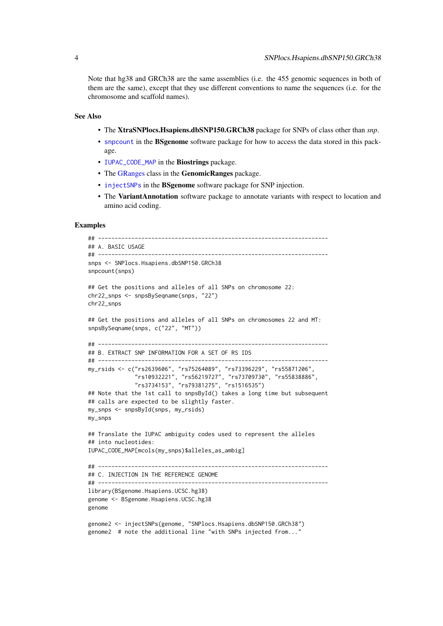Note that hg38 and GRCh38 are the same assemblies (i.e. the 455 genomic sequences in both of them are the same), except that they use different conventions to name the sequences (i.e. for the chromosome and scaffold names).

#### See Also

- The XtraSNPlocs.Hsapiens.dbSNP150.GRCh38 package for SNPs of class other than *snp*.
- [snpcount](#page-0-0) in the BSgenome software package for how to access the data stored in this package.
- [IUPAC\\_CODE\\_MAP](#page-0-0) in the Biostrings package.
- The [GRanges](#page-0-0) class in the GenomicRanges package.
- [injectSNPs](#page-0-0) in the **BSgenome** software package for SNP injection.
- The VariantAnnotation software package to annotate variants with respect to location and amino acid coding.

## Examples

```
## ---------------------------------------------------------------------
## A. BASIC USAGE
## ---------------------------------------------------------------------
snps <- SNPlocs.Hsapiens.dbSNP150.GRCh38
snpcount(snps)
## Get the positions and alleles of all SNPs on chromosome 22:
chr22_snps <- snpsBySeqname(snps, "22")
chr22_snps
## Get the positions and alleles of all SNPs on chromosomes 22 and MT:
snpsBySeqname(snps, c("22", "MT"))
## ---------------------------------------------------------------------
## B. EXTRACT SNP INFORMATION FOR A SET OF RS IDS
## ---------------------------------------------------------------------
my_rsids <- c("rs2639606", "rs75264089", "rs73396229", "rs55871206",
              "rs10932221", "rs56219727", "rs73709730", "rs55838886",
              "rs3734153", "rs79381275", "rs1516535")
## Note that the 1st call to snpsById() takes a long time but subsequent
## calls are expected to be slightly faster.
my_snps <- snpsById(snps, my_rsids)
my_snps
## Translate the IUPAC ambiguity codes used to represent the alleles
## into nucleotides:
IUPAC_CODE_MAP[mcols(my_snps)$alleles_as_ambig]
## ---------------------------------------------------------------------
## C. INJECTION IN THE REFERENCE GENOME
## ---------------------------------------------------------------------
library(BSgenome.Hsapiens.UCSC.hg38)
genome <- BSgenome.Hsapiens.UCSC.hg38
genome
genome2 <- injectSNPs(genome, "SNPlocs.Hsapiens.dbSNP150.GRCh38")
genome2 # note the additional line "with SNPs injected from..."
```
<span id="page-3-0"></span>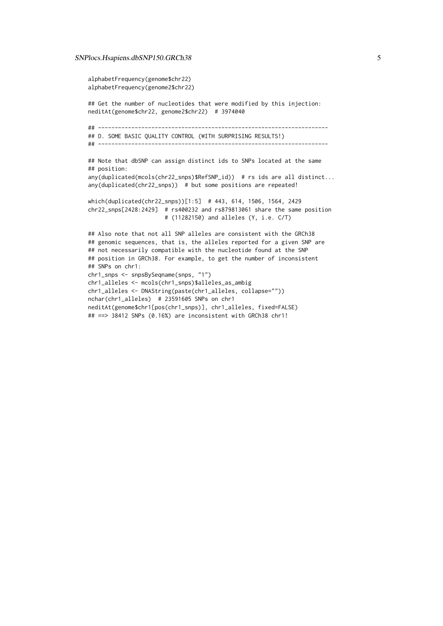#### SNPlocs.Hsapiens.dbSNP150.GRCh38 5

```
alphabetFrequency(genome$chr22)
alphabetFrequency(genome2$chr22)
## Get the number of nucleotides that were modified by this injection:
neditAt(genome$chr22, genome2$chr22) # 3974040
## ---------------------------------------------------------------------
## D. SOME BASIC QUALITY CONTROL (WITH SURPRISING RESULTS!)
## ---------------------------------------------------------------------
## Note that dbSNP can assign distinct ids to SNPs located at the same
## position:
any(duplicated(mcols(chr22_snps)$RefSNP_id)) # rs ids are all distinct...
any(duplicated(chr22_snps)) # but some positions are repeated!
which(duplicated(chr22_snps))[1:5] # 443, 614, 1506, 1564, 2429
chr22_snps[2428:2429] # rs400232 and rs879813061 share the same position
                       # (11282150) and alleles (Y, i.e. C/T)
## Also note that not all SNP alleles are consistent with the GRCh38
## genomic sequences, that is, the alleles reported for a given SNP are
## not necessarily compatible with the nucleotide found at the SNP
## position in GRCh38. For example, to get the number of inconsistent
## SNPs on chr1:
chr1_snps <- snpsBySeqname(snps, "1")
chr1_alleles <- mcols(chr1_snps)$alleles_as_ambig
chr1_alleles <- DNAString(paste(chr1_alleles, collapse=""))
nchar(chr1_alleles) # 23591605 SNPs on chr1
neditAt(genome$chr1[pos(chr1_snps)], chr1_alleles, fixed=FALSE)
## ==> 38412 SNPs (0.16%) are inconsistent with GRCh38 chr1!
```